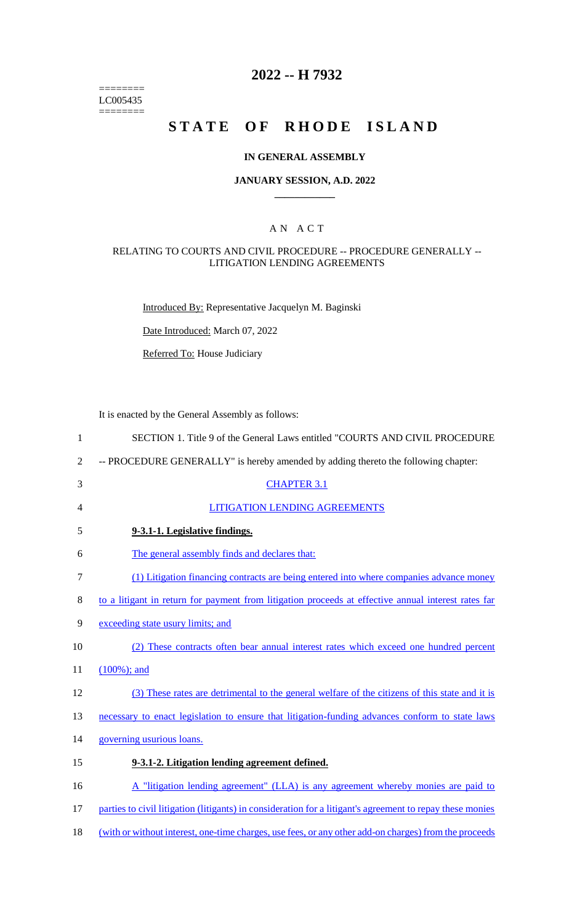======== LC005435  $=$ 

# **2022 -- H 7932**

# **STATE OF RHODE ISLAND**

#### **IN GENERAL ASSEMBLY**

#### **JANUARY SESSION, A.D. 2022 \_\_\_\_\_\_\_\_\_\_\_\_**

### A N A C T

#### RELATING TO COURTS AND CIVIL PROCEDURE -- PROCEDURE GENERALLY -- LITIGATION LENDING AGREEMENTS

Introduced By: Representative Jacquelyn M. Baginski

Date Introduced: March 07, 2022

Referred To: House Judiciary

It is enacted by the General Assembly as follows:

| $\mathbf{1}$   | SECTION 1. Title 9 of the General Laws entitled "COURTS AND CIVIL PROCEDURE                               |
|----------------|-----------------------------------------------------------------------------------------------------------|
| $\overline{2}$ | -- PROCEDURE GENERALLY" is hereby amended by adding thereto the following chapter:                        |
| 3              | <b>CHAPTER 3.1</b>                                                                                        |
| 4              | <b>LITIGATION LENDING AGREEMENTS</b>                                                                      |
| 5              | 9-3.1-1. Legislative findings.                                                                            |
| 6              | The general assembly finds and declares that:                                                             |
| 7              | (1) Litigation financing contracts are being entered into where companies advance money                   |
| 8              | to a litigant in return for payment from litigation proceeds at effective annual interest rates far       |
| 9              | exceeding state usury limits; and                                                                         |
| 10             | (2) These contracts often bear annual interest rates which exceed one hundred percent                     |
| 11             | $(100\%)$ ; and                                                                                           |
| 12             | (3) These rates are detrimental to the general welfare of the citizens of this state and it is            |
| 13             | necessary to enact legislation to ensure that litigation-funding advances conform to state laws           |
| 14             | governing usurious loans.                                                                                 |
| 15             | 9-3.1-2. Litigation lending agreement defined.                                                            |
| 16             | A "litigation lending agreement" (LLA) is any agreement whereby monies are paid to                        |
| 17             | parties to civil litigation (litigants) in consideration for a litigant's agreement to repay these monies |
|                |                                                                                                           |

18 (with or without interest, one-time charges, use fees, or any other add-on charges) from the proceeds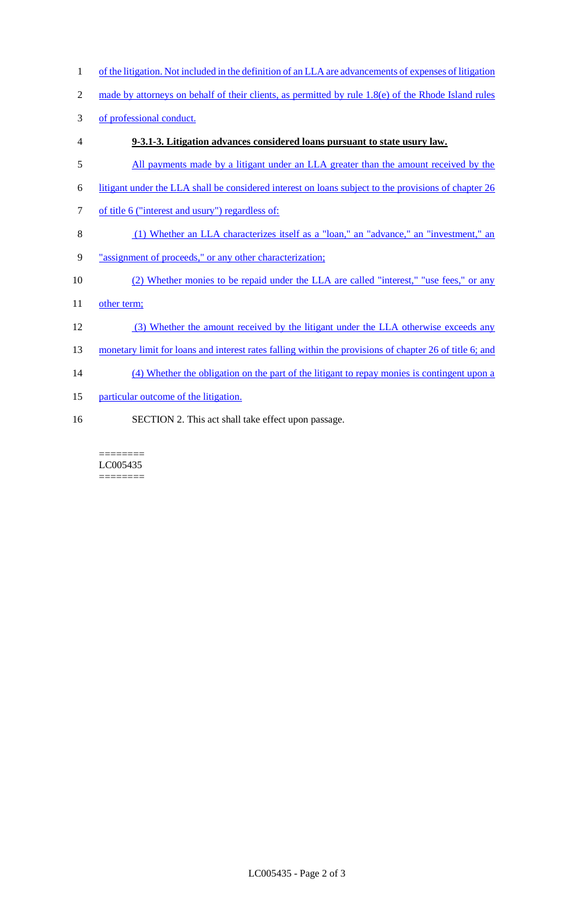- 1 of the litigation. Not included in the definition of an LLA are advancements of expenses of litigation
- 2 made by attorneys on behalf of their clients, as permitted by rule 1.8(e) of the Rhode Island rules
- 3 of professional conduct.
- 4 **9-3.1-3. Litigation advances considered loans pursuant to state usury law.**
- 5 All payments made by a litigant under an LLA greater than the amount received by the
- 6 litigant under the LLA shall be considered interest on loans subject to the provisions of chapter 26
- 7 of title 6 ("interest and usury") regardless of:
- 8 (1) Whether an LLA characterizes itself as a "loan," an "advance," an "investment," an
- 9 "assignment of proceeds," or any other characterization;
- 10 (2) Whether monies to be repaid under the LLA are called "interest," "use fees," or any
- 11 other term;
- 12 (3) Whether the amount received by the litigant under the LLA otherwise exceeds any
- 13 monetary limit for loans and interest rates falling within the provisions of chapter 26 of title 6; and
- 14 (4) Whether the obligation on the part of the litigant to repay monies is contingent upon a
- 15 particular outcome of the litigation.
- 16 SECTION 2. This act shall take effect upon passage.

======== LC005435 ========